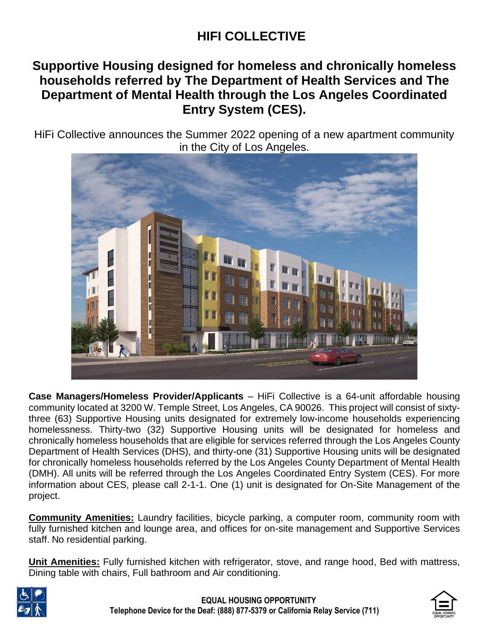# **HIFI COLLECTIVE**

# **Supportive Housing designed for homeless and chronically homeless households referred by The Department of Health Services and The Department of Mental Health through the Los Angeles Coordinated Entry System (CES).**

HiFi Collective announces the Summer 2022 opening of a new apartment community in the City of Los Angeles.



**Case Managers/Homeless Provider/Applicants** – HiFi Collective is a 64-unit affordable housing community located at 3200 W. Temple Street, Los Angeles, CA 90026. This project will consist of sixtythree (63) Supportive Housing units designated for extremely low-income households experiencing homelessness. Thirty-two (32) Supportive Housing units will be designated for homeless and chronically homeless households that are eligible for services referred through the Los Angeles County Department of Health Services (DHS), and thirty-one (31) Supportive Housing units will be designated for chronically homeless households referred by the Los Angeles County Department of Mental Health (DMH). All units will be referred through the Los Angeles Coordinated Entry System (CES). For more information about CES, please call 2-1-1. One (1) unit is designated for On-Site Management of the project.

**Community Amenities:** Laundry facilities, bicycle parking, a computer room, community room with fully furnished kitchen and lounge area, and offices for on-site management and Supportive Services staff. No residential parking.

**Unit Amenities:** Fully furnished kitchen with refrigerator, stove, and range hood, Bed with mattress, Dining table with chairs, Full bathroom and Air conditioning.



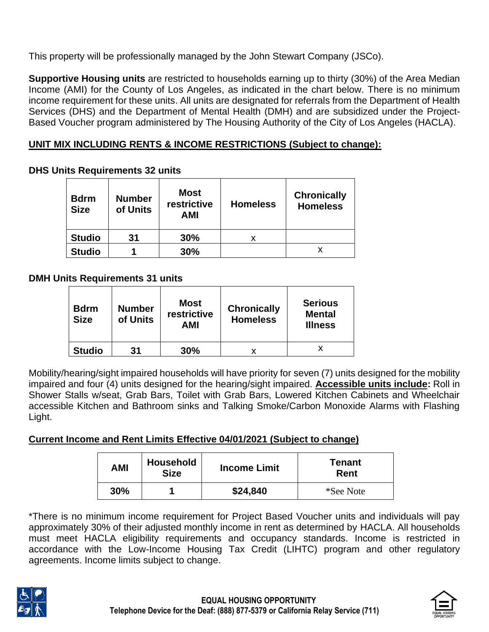This property will be professionally managed by the John Stewart Company (JSCo).

**Supportive Housing units** are restricted to households earning up to thirty (30%) of the Area Median Income (AMI) for the County of Los Angeles, as indicated in the chart below. There is no minimum income requirement for these units. All units are designated for referrals from the Department of Health Services (DHS) and the Department of Mental Health (DMH) and are subsidized under the Project-Based Voucher program administered by The Housing Authority of the City of Los Angeles (HACLA).

# **UNIT MIX INCLUDING RENTS & INCOME RESTRICTIONS (Subject to change):**

### **DHS Units Requirements 32 units**

| <b>Bdrm</b><br><b>Size</b> | <b>Number</b><br>of Units | <b>Most</b><br>restrictive<br><b>AMI</b> | <b>Homeless</b> | <b>Chronically</b><br><b>Homeless</b> |
|----------------------------|---------------------------|------------------------------------------|-----------------|---------------------------------------|
| <b>Studio</b>              | 31                        | 30%                                      | х               |                                       |
| <b>Studio</b>              |                           | 30%                                      |                 |                                       |

# **DMH Units Requirements 31 units**

| <b>Bdrm</b><br><b>Size</b> | <b>Number</b><br>of Units | <b>Most</b><br>restrictive<br><b>AMI</b> | <b>Chronically</b><br><b>Homeless</b> | <b>Serious</b><br><b>Mental</b><br><b>Illness</b> |
|----------------------------|---------------------------|------------------------------------------|---------------------------------------|---------------------------------------------------|
| <b>Studio</b>              | 31                        | 30%                                      |                                       |                                                   |

Mobility/hearing/sight impaired households will have priority for seven (7) units designed for the mobility impaired and four (4) units designed for the hearing/sight impaired. **Accessible units include:** Roll in Shower Stalls w/seat, Grab Bars, Toilet with Grab Bars, Lowered Kitchen Cabinets and Wheelchair accessible Kitchen and Bathroom sinks and Talking Smoke/Carbon Monoxide Alarms with Flashing Light.

# **Current Income and Rent Limits Effective 04/01/2021 (Subject to change)**

| <b>AMI</b> | <b>Household</b><br><b>Size</b> | <b>Income Limit</b> | Tenant<br>Rent |
|------------|---------------------------------|---------------------|----------------|
| 30%        |                                 | \$24,840            | *See Note      |

\*There is no minimum income requirement for Project Based Voucher units and individuals will pay approximately 30% of their adjusted monthly income in rent as determined by HACLA. All households must meet HACLA eligibility requirements and occupancy standards. Income is restricted in accordance with the Low-Income Housing Tax Credit (LIHTC) program and other regulatory agreements. Income limits subject to change.